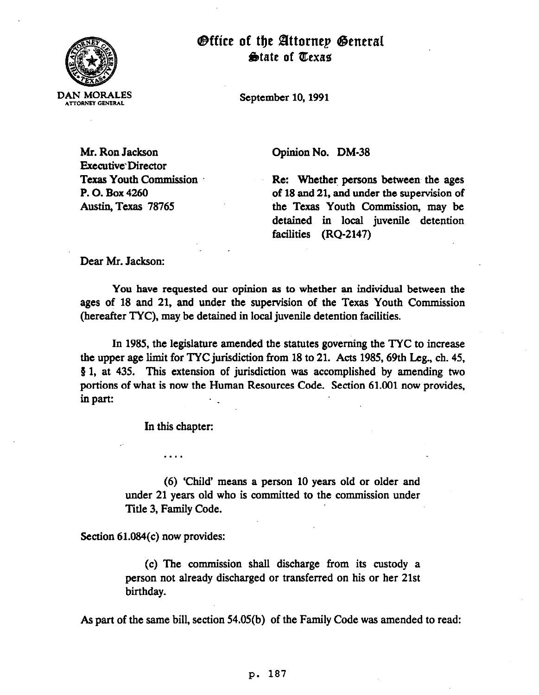

**Office of the Attornep General** State of Texas

September 10, 1991

Mr. Ron Jackson Executive'Director Texas Youth Commission P. 0. Box 4260 Austin, Texas 78765

Opinion No. DM-38

Re: Whether persons between the ages of 18 and 21, and under the supervision of the Texas Youth Commission, may be detained in local juvenile detention facilities (RQ-2147)

Dear Mr. Jackson:

You have requested our opinion as to whether an individual between the ages of 18 and 21, and under the supervision of the Texas Youth Commission (hereafter TYC). may be detained in local juvenile detention facilities.

,

In 1985, the legislature amended the statutes governing the TYC to increase the upper age limit for TYC jurisdiction from 18 to 21. Acts 1985,69th Leg., ch. 45, 3 1, at 435. This extension of jurisdiction was accomplished by amending two portions of what is now the Human Resources Code. Section 61.001 now provides, in part:

In this chapter:

. . . .

(6) 'Child' means a person 10 years old or older and under 21 years old who is committed to the commission under Title 3, Family Code.

Section 61.084(c) now provides:

(c) The commission shah discharge from its custody a person not already discharged or transferred on his or her 21st birthday.

As part of the same bill, section 54.05(b) of the Family Code was amended to read:

## P- 187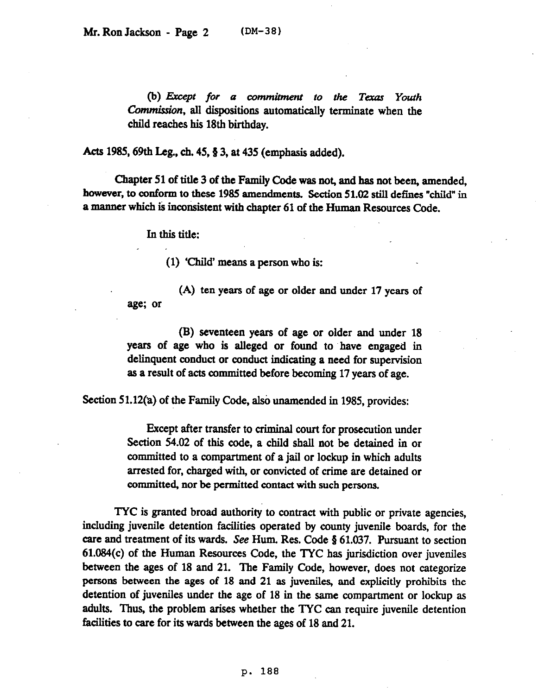(b) Except for a commitment to the Texas Youth Commission, all dispositions automatically terminate when the child reaches his 18th birthday.

Acts 1985, 69th Leg., ch. 45,  $\S$  3, at 435 (emphasis added).

Chapter 51 of title 3 of the Family Code was not, and has not been, amended, however, to conform to these 1985 amendments. Section 51.02 still defines "child" in a manner which is inconsistent with chapter 61 of the Human Resources Code.

*In this title:* 

(1) 'Child' means a person who is:

(A) ten years of age or older and under 17 years of age; or

(B) seventeen years of age or older and under 18 years of age who is alleged or found to 'have engaged in delinquent conduct or conduct indicating a need for supervision as a result of acts committed before becoming 17 years of age.

Section 51.12(a) of the Family Code, also unamended in 1985, provides:

Except after transfer to crimimd court for prosecution under Section 54.02 of this code, a child shall not be detained in or committed to a compartment of a jail or lockup in which adults arrested for, charged with, or convicted of crime are detained or committed, nor be permitted contact with such persons.

TYC is granted broad authority to contract with public or private agencies, including juvenile detention facilities operated by county juvenile boards, for the care and treatment of its wards. See Hum. Res. Code § 61.037. Pursuant to section 61.084(c) of the Human Resources Code, the TYC has jurisdiction over juveniles between the ages of 18 and 21. The Family Code, however, does not categorize persons between the ages of 18 and 21 as juveniles, and explicitly prohibits the detention of juveniles under the age of 18 in the same compartment or lockup as adults. Thus, the problem arises whether the TYC can require juvenile detention facilities to care for its wards between the ages of 18 and 21.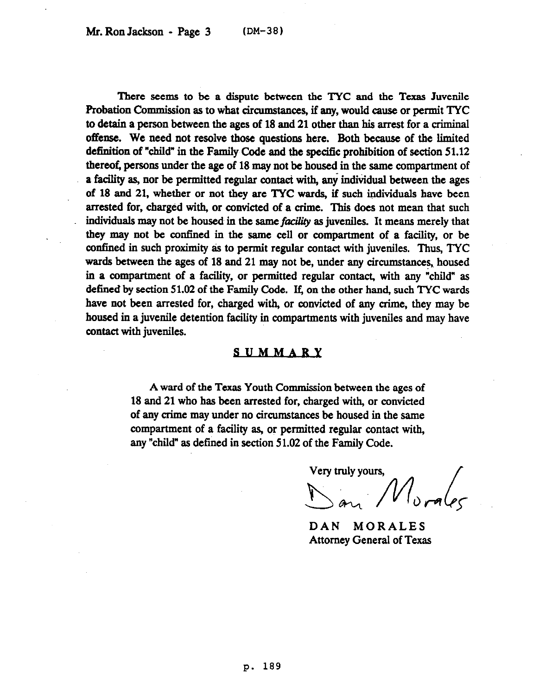There seems to be a dispute between the TYC and the Texas Juvenile Probation Commission as to what circumstances, if any, would cause or permit TYC to detain a person between the ages of 18 and 21 other than his arrest for a criminal offense. We need not resolve those questions here. Roth because of the limited definition of "child" in the Family Code and the specific prohibition of section 51.12 thereof, persons under the age of 18 may not be housed in the same compartment of a facility as, nor be permitted regular contact with, any individual between the ages of 18 and 21, whether or not they are TYC wards, if such individuals have been arrested for, charged with, or convicted of a crime. This does not mean that such individuals may not be housed in the same *facility* as juveniles. It means merely that they may not be confined in the same cell or compartment of a facility, or be confined in such proximity as to permit regular contact with juveniles. Thus, TYC wards between the ages of 18 and 21 may not be, under any circumstances, housed in a compartment of a facility, or permitted regular contact, with any "child" as defined by section 51.02 of the Family Code. If, on the other hand, such TYC wards have not been arrested for, charged with, or convicted of any crime, they may be housed in a juvenile detention facility in compartments with juveniles and may have contact with juveniles.

## **SUMMARY**

A ward of the Texas Youth Commission between the ages of 18 and 21 who has been arrested for, charged with, or convicted of any crime may under no circumstances be housed in the same compartment of a facility as, or permitted regular contact with, any "child" as defined in section 51.02 of the Family Code.

Very truly yours,

DAN MORALES Attorney General of Texas